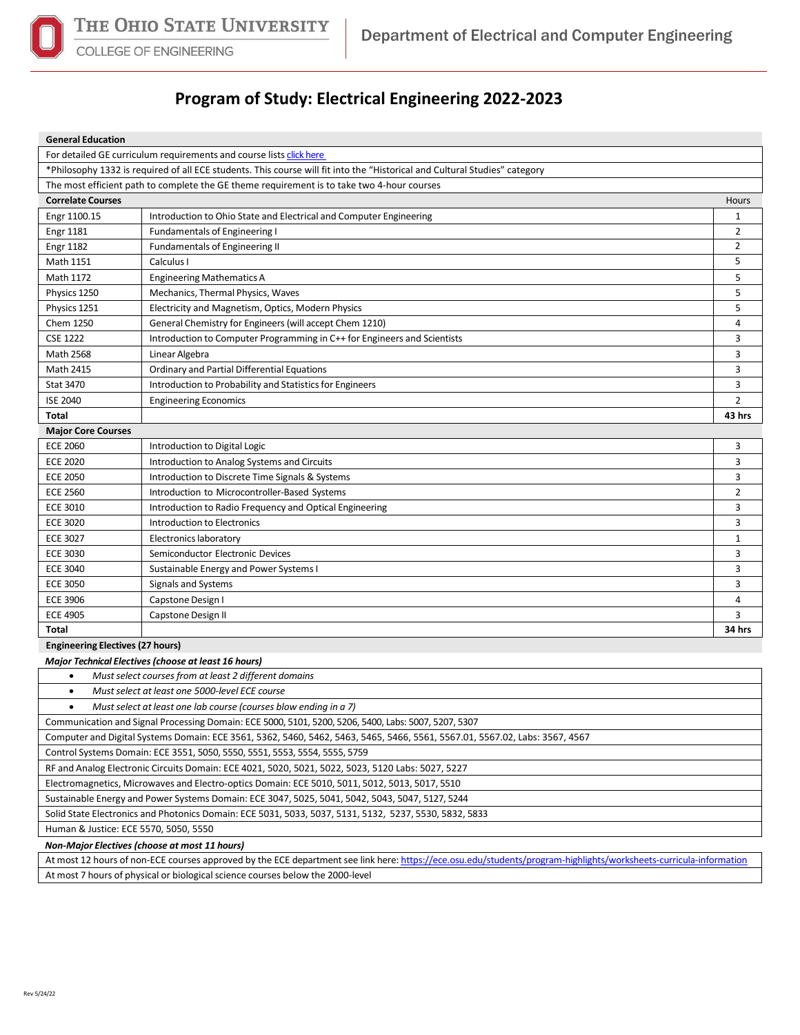

COLLEGE OF ENGINEERING

## **Program of Study: Electrical Engineering 2022-2023**

| <b>General Education</b> |
|--------------------------|
|                          |

|                                                                                                                             | For detailed GE curriculum requirements and course lists click here                                                        |                |  |  |  |
|-----------------------------------------------------------------------------------------------------------------------------|----------------------------------------------------------------------------------------------------------------------------|----------------|--|--|--|
|                                                                                                                             | *Philosophy 1332 is required of all ECE students. This course will fit into the "Historical and Cultural Studies" category |                |  |  |  |
|                                                                                                                             | The most efficient path to complete the GE theme requirement is to take two 4-hour courses                                 |                |  |  |  |
| <b>Correlate Courses</b>                                                                                                    |                                                                                                                            | Hours          |  |  |  |
| Engr 1100.15                                                                                                                | Introduction to Ohio State and Electrical and Computer Engineering                                                         | $\mathbf{1}$   |  |  |  |
| <b>Engr 1181</b>                                                                                                            | <b>Fundamentals of Engineering I</b>                                                                                       | $\overline{2}$ |  |  |  |
| <b>Engr 1182</b>                                                                                                            | Fundamentals of Engineering II                                                                                             | $\overline{2}$ |  |  |  |
| Math 1151                                                                                                                   | Calculus I                                                                                                                 | 5              |  |  |  |
| Math 1172                                                                                                                   | <b>Engineering Mathematics A</b>                                                                                           | 5              |  |  |  |
| Physics 1250                                                                                                                | Mechanics, Thermal Physics, Waves                                                                                          | 5              |  |  |  |
| Physics 1251                                                                                                                | Electricity and Magnetism, Optics, Modern Physics                                                                          | 5              |  |  |  |
| Chem 1250                                                                                                                   | General Chemistry for Engineers (will accept Chem 1210)                                                                    | 4              |  |  |  |
| <b>CSE 1222</b>                                                                                                             | Introduction to Computer Programming in C++ for Engineers and Scientists                                                   | 3              |  |  |  |
| Math 2568                                                                                                                   | Linear Algebra                                                                                                             | 3              |  |  |  |
| <b>Math 2415</b>                                                                                                            | Ordinary and Partial Differential Equations                                                                                | 3              |  |  |  |
| <b>Stat 3470</b>                                                                                                            | Introduction to Probability and Statistics for Engineers                                                                   | 3              |  |  |  |
| <b>ISE 2040</b>                                                                                                             | <b>Engineering Economics</b>                                                                                               | 2              |  |  |  |
| Total                                                                                                                       |                                                                                                                            | 43 hrs         |  |  |  |
| <b>Major Core Courses</b>                                                                                                   |                                                                                                                            |                |  |  |  |
| <b>ECE 2060</b>                                                                                                             | Introduction to Digital Logic                                                                                              | 3              |  |  |  |
| <b>ECE 2020</b>                                                                                                             | Introduction to Analog Systems and Circuits                                                                                | 3              |  |  |  |
| <b>ECE 2050</b>                                                                                                             | Introduction to Discrete Time Signals & Systems                                                                            | 3              |  |  |  |
| <b>ECE 2560</b>                                                                                                             | Introduction to Microcontroller-Based Systems                                                                              | $\overline{2}$ |  |  |  |
| <b>ECE 3010</b>                                                                                                             | Introduction to Radio Frequency and Optical Engineering                                                                    | 3              |  |  |  |
| <b>ECE 3020</b>                                                                                                             | Introduction to Electronics                                                                                                | 3              |  |  |  |
| <b>ECE 3027</b>                                                                                                             | Electronics laboratory                                                                                                     | $\mathbf{1}$   |  |  |  |
| <b>ECE 3030</b>                                                                                                             | Semiconductor Electronic Devices                                                                                           | 3              |  |  |  |
| <b>ECE 3040</b>                                                                                                             | Sustainable Energy and Power Systems I                                                                                     | 3              |  |  |  |
| <b>ECE 3050</b>                                                                                                             | Signals and Systems                                                                                                        | 3              |  |  |  |
| <b>ECE 3906</b>                                                                                                             | Capstone Design I                                                                                                          | 4              |  |  |  |
| <b>ECE 4905</b>                                                                                                             | Capstone Design II                                                                                                         | 3              |  |  |  |
| Total                                                                                                                       |                                                                                                                            | 34 hrs         |  |  |  |
| <b>Engineering Electives (27 hours)</b>                                                                                     |                                                                                                                            |                |  |  |  |
| <b>Major Technical Electives (choose at least 16 hours)</b>                                                                 |                                                                                                                            |                |  |  |  |
| Must select courses from at least 2 different domains<br>$\bullet$                                                          |                                                                                                                            |                |  |  |  |
| Must select at least one 5000-level ECE course<br>$\bullet$                                                                 |                                                                                                                            |                |  |  |  |
| $\bullet$<br>Must select at least one lab course (courses blow ending in a 7)                                               |                                                                                                                            |                |  |  |  |
| Communication and Signal Processing Domain: ECE 5000, 5101, 5200, 5206, 5400, Labs: 5007, 5207, 5307                        |                                                                                                                            |                |  |  |  |
| Computer and Digital Systems Domain: ECE 3561, 5362, 5460, 5462, 5463, 5465, 5466, 5561, 5567.01, 5567.02, Labs: 3567, 4567 |                                                                                                                            |                |  |  |  |

Control Systems Domain: ECE 3551, 5050, 5550, 5551, 5553, 5554, 5555, 5759

RF and Analog Electronic Circuits Domain: ECE 4021, 5020, 5021, 5022, 5023, 5120 Labs: 5027, 5227

Electromagnetics, Microwaves and Electro-optics Domain: ECE 5010, 5011, 5012, 5013, 5017, 5510

Sustainable Energy and Power Systems Domain: ECE 3047, 5025, 5041, 5042, 5043, 5047, 5127, 5244

Solid State Electronics and Photonics Domain: ECE 5031, 5033, 5037, 5131, 5132, 5237, 5530, 5832, 5833

Human & Justice: ECE 5570, 5050, 5550

*Non-Major Electives (choose at most 11 hours)*

At most 12 hours of non-ECE courses approved by the ECE department see link here[: https://ece.osu.edu/students/program-highlights/worksheets-curricula-information](https://ece.osu.edu/students/program-highlights/worksheets-curricula-information) At most 7 hours of physical or biological science courses below the 2000-level